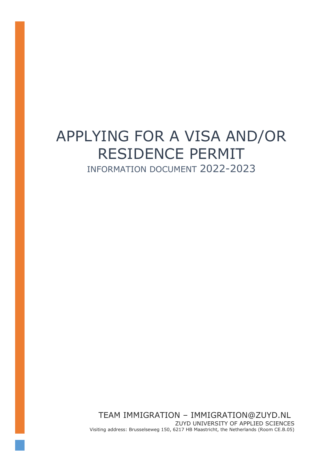# APPLYING FOR A VISA AND/OR RESIDENCE PERMIT INFORMATION DOCUMENT 2022-2023

TEAM IMMIGRATION – IMMIGRATION@ZUYD.NL ZUYD UNIVERSITY OF APPLIED SCIENCES Visiting address: Brusselseweg 150, 6217 HB Maastricht, the Netherlands (Room CE.B.05)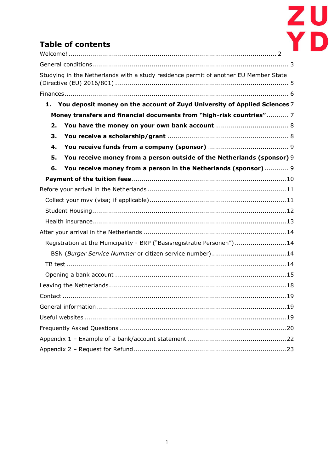

## **Table of contents**

|    | Studying in the Netherlands with a study residence permit of another EU Member State |
|----|--------------------------------------------------------------------------------------|
|    |                                                                                      |
|    | 1. You deposit money on the account of Zuyd University of Applied Sciences 7         |
|    | Money transfers and financial documents from "high-risk countries" 7                 |
| 2. |                                                                                      |
| 3. |                                                                                      |
| 4. |                                                                                      |
| 5. | You receive money from a person outside of the Netherlands (sponsor) 9               |
| 6. | You receive money from a person in the Netherlands (sponsor) 9                       |
|    |                                                                                      |
|    |                                                                                      |
|    |                                                                                      |
|    |                                                                                      |
|    |                                                                                      |
|    |                                                                                      |
|    | Registration at the Municipality - BRP ("Basisregistratie Personen")14               |
|    | BSN (Burger Service Nummer or citizen service number) 14                             |
|    |                                                                                      |
|    |                                                                                      |
|    |                                                                                      |
|    |                                                                                      |
|    |                                                                                      |
|    |                                                                                      |
|    |                                                                                      |
|    |                                                                                      |
|    |                                                                                      |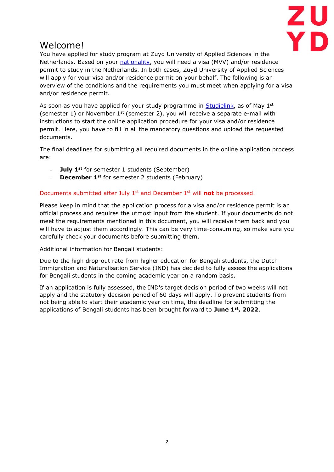

## <span id="page-2-0"></span>Welcome!

You have applied for study program at Zuyd University of Applied Sciences in the Netherlands. Based on your [nationality,](https://ind.nl/en/pages/exemptions-from-the-requirement-for-an-mvv.aspx) you will need a visa (MVV) and/or residence permit to study in the Netherlands. In both cases, Zuyd University of Applied Sciences will apply for your visa and/or residence permit on your behalf. The following is an overview of the conditions and the requirements you must meet when applying for a visa and/or residence permit.

As soon as you have applied for your study programme in [Studielink,](https://www.studielink.nl/) as of May  $1<sup>st</sup>$ (semester 1) or November  $1<sup>st</sup>$  (semester 2), you will receive a separate e-mail with instructions to start the online application procedure for your visa and/or residence permit. Here, you have to fill in all the mandatory questions and upload the requested documents.

The final deadlines for submitting all required documents in the online application process are:

- **July 1st** for semester 1 students (September)
- **December 1<sup>st</sup>** for semester 2 students (February)

#### Documents submitted after July 1st and December 1st will **not** be processed.

Please keep in mind that the application process for a visa and/or residence permit is an official process and requires the utmost input from the student. If your documents do not meet the requirements mentioned in this document, you will receive them back and you will have to adjust them accordingly. This can be very time-consuming, so make sure you carefully check your documents before submitting them.

#### Additional information for Bengali students:

Due to the high drop-out rate from higher education for Bengali students, the Dutch Immigration and Naturalisation Service (IND) has decided to fully assess the applications for Bengali students in the coming academic year on a random basis.

If an application is fully assessed, the IND's target decision period of two weeks will not apply and the statutory decision period of 60 days will apply. To prevent students from not being able to start their academic year on time, the deadline for submitting the applications of Bengali students has been brought forward to **June 1st, 2022**.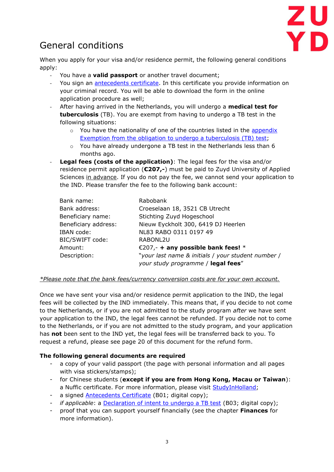

# <span id="page-3-0"></span>General conditions

When you apply for your visa and/or residence permit, the following general conditions apply:

- You have a **valid passport** or another travel document;
- You sign an [antecedents certificate.](https://ind.nl/en/Forms/7601.pdf) In this certificate you provide information on your criminal record. You will be able to download the form in the online application procedure as well;
- After having arrived in the Netherlands, you will undergo a **medical test for tuberculosis** (TB). You are exempt from having to undergo a TB test in the following situations:
	- $\circ$  You have the nationality of one of the countries listed in the appendix [Exemption from the obligation to undergo a tuberculosis \(TB\) test;](https://ind.nl/en/forms/7644.pdf)
	- $\circ$  You have already undergone a TB test in the Netherlands less than 6 months ago.
- **Legal fees (costs of the application)**: The legal fees for the visa and/or residence permit application (**€207,-**) must be paid to Zuyd University of Applied Sciences in advance. If you do not pay the fee, we cannot send your application to the IND. Please transfer the fee to the following bank account:

| Bank name:           | Rabobank                                           |
|----------------------|----------------------------------------------------|
| Bank address:        | Croeselaan 18, 3521 CB Utrecht                     |
| Beneficiary name:    | Stichting Zuyd Hogeschool                          |
| Beneficiary address: | Nieuw Eyckholt 300, 6419 DJ Heerlen                |
| IBAN code:           | NL83 RABO 0311 0197 49                             |
| BIC/SWIFT code:      | RABONL2U                                           |
| Amount:              | €207,- + any possible bank fees! $*$               |
| Description:         | "your last name & initials / your student number / |
|                      | your study programme / legal fees"                 |

#### *\*Please note that the bank fees/currency conversion costs are for your own account.*

Once we have sent your visa and/or residence permit application to the IND, the legal fees will be collected by the IND immediately. This means that, if you decide to not come to the Netherlands, or if you are not admitted to the study program *after* we have sent your application to the IND, the legal fees cannot be refunded. If you decide not to come to the Netherlands, or if you are not admitted to the study program, and your application has **not** been sent to the IND yet, the legal fees will be transferred back to you. To request a refund, please see page 20 of this document for the refund form.

### **The following general documents are required**

- a copy of your valid passport (the page with personal information and all pages with visa stickers/stamps);
- for Chinese students (**except if you are from Hong Kong, Macau or Taiwan**): a Nuffic certificate. For more information, please visit [StudyInHolland;](https://www.studyinholland.nl/plan-your-stay/visas-and-permits/nuffic-certificate-for-chinese-students)
- a signed **Antecedents Certificate** (B01; digital copy);
- *if applicable*: a [Declaration of intent to undergo a TB test](https://www.eur.nl/sites/corporate/files/2017-12/Declaration%20of%20intent%20to%20undergo%20a%20TB-test.pdf) (B03; digital copy);
- proof that you can support yourself financially (see the chapter **Finances** for more information).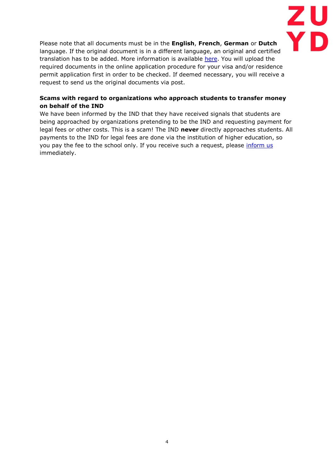

Please note that all documents must be in the **English**, **French**, **German** or **Dutch** language. If the original document is in a different language, an original and certified translation has to be added. More information is available [here.](https://ind.nl/en/Pages/legalisation-and-translation-of-official-documents.aspx) You will upload the required documents in the online application procedure for your visa and/or residence permit application first in order to be checked. If deemed necessary, you will receive a request to send us the original documents via post.

#### **Scams with regard to organizations who approach students to transfer money on behalf of the IND**

We have been informed by the IND that they have received signals that students are being approached by organizations pretending to be the IND and requesting payment for legal fees or other costs. This is a scam! The IND **never** directly approaches students. All payments to the IND for legal fees are done via the institution of higher education, so you pay the fee to the school only. If you receive such a request, please [inform us](mailto:immigration@zuyd.nl) immediately.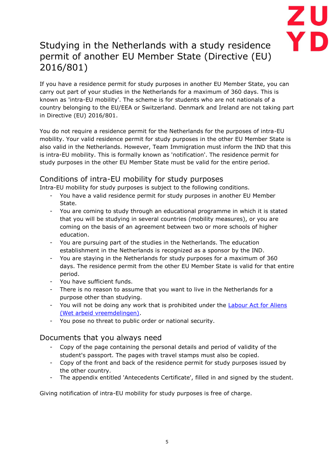

## <span id="page-5-0"></span>Studying in the Netherlands with a study residence permit of another EU Member State (Directive (EU) 2016/801)

If you have a residence permit for study purposes in another EU Member State, you can carry out part of your studies in the Netherlands for a maximum of 360 days. This is known as 'intra-EU mobility'. The scheme is for students who are not nationals of a country belonging to the EU/EEA or Switzerland. Denmark and Ireland are not taking part in Directive (EU) 2016/801.

You do not require a residence permit for the Netherlands for the purposes of intra-EU mobility. Your valid residence permit for study purposes in the other EU Member State is also valid in the Netherlands. However, Team Immigration must inform the IND that this is intra-EU mobility. This is formally known as 'notification'. The residence permit for study purposes in the other EU Member State must be valid for the entire period.

### Conditions of intra-EU mobility for study purposes

Intra-EU mobility for study purposes is subject to the following conditions.

- You have a valid residence permit for study purposes in another EU Member State.
- You are coming to study through an educational programme in which it is stated that you will be studying in several countries (mobility measures), or you are coming on the basis of an agreement between two or more schools of higher education.
- You are pursuing part of the studies in the Netherlands. The education establishment in the Netherlands is recognized as a sponsor by the IND.
- You are staying in the Netherlands for study purposes for a maximum of 360 days. The residence permit from the other EU Member State is valid for that entire period.
- You have sufficient funds.
- There is no reason to assume that you want to live in the Netherlands for a purpose other than studying.
- You will not be doing any work that is prohibited under the [Labour Act for Aliens](http://wetten.overheid.nl/1.0:c:BWBR0007149)  [\(Wet arbeid vreemdelingen\).](http://wetten.overheid.nl/1.0:c:BWBR0007149)
- You pose no threat to public order or national security.

### Documents that you always need

- Copy of the page containing the personal details and period of validity of the student's passport. The pages with travel stamps must also be copied.
- Copy of the front and back of the residence permit for study purposes issued by the other country.
- The appendix entitled 'Antecedents Certificate', filled in and signed by the student.

Giving notification of intra-EU mobility for study purposes is free of charge.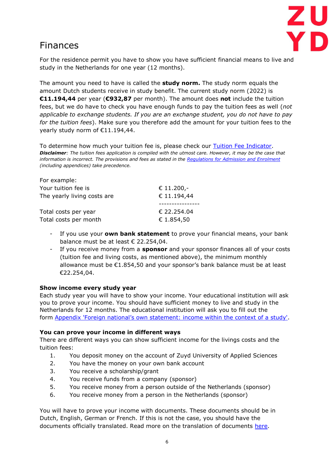

## <span id="page-6-0"></span>Finances

For the residence permit you have to show you have sufficient financial means to live and study in the Netherlands for one year (12 months).

The amount you need to have is called the **study norm.** The study norm equals the amount Dutch students receive in study benefit. The current study norm (2022) is **€11.194,44** per year (**€932,87** per month). The amount does **not** include the tuition fees, but we do have to check you have enough funds to pay the tuition fees as well (*not applicable to exchange students. If you are an exchange student, you do not have to pay for the tuition fees*). Make sure you therefore add the amount for your tuition fees to the yearly study norm of €11.194,44.

To determine how much your tuition fee is, please check our [Tuition Fee Indicator.](https://www.zuyd.nl/en/study-at-zuyd/tuition-fees) *Disclaimer: The tuition fees application is compiled with the utmost care. However, it may be the case that information is incorrect. The provisions and fees as stated in the [Regulations for Admission and Enrolment](https://www.zuyd.nl/binaries/content/assets/zuyd-en/study/regulations-on-admission-and-enrolment-2022-2023.pdf) (including appendices) take precedence.*

| For example:                                  |                           |
|-----------------------------------------------|---------------------------|
| Your tuition fee is                           | € 11.200,-                |
| The yearly living costs are                   | € 11.194,44               |
| Total costs per year<br>Total costs per month | € 22.254.04<br>€ 1.854,50 |

- If you use your **own bank statement** to prove your financial means, your bank balance must be at least € 22.254,04.
- If you receive money from a **sponsor** and your sponsor finances all of your costs (tuition fee and living costs, as mentioned above), the minimum monthly allowance must be  $E1.854,50$  and your sponsor's bank balance must be at least €22.254,04.

#### **Show income every study year**

Each study year you will have to show your income. Your educational institution will ask you to prove your income. You should have sufficient money to live and study in the Netherlands for 12 months. The educational institution will ask you to fill out the form [Appendix 'Foreign national's own statement: income within the context of a study'](https://ind.nl/en/Forms/7613.pdf).

#### **You can prove your income in different ways**

There are different ways you can show sufficient income for the livings costs and the tuition fees:

- 1. You deposit money on the account of Zuyd University of Applied Sciences
- 2. You have the money on your own bank account
- 3. You receive a scholarship/grant
- 4. You receive funds from a company (sponsor)
- 5. You receive money from a person outside of the Netherlands (sponsor)
- 6. You receive money from a person in the Netherlands (sponsor)

You will have to prove your income with documents. These documents should be in Dutch, English, German or French. If this is not the case, you should have the documents officially translated. Read more on the translation of documents [here.](https://ind.nl/en/Pages/legalisation-and-translation-of-official-documents.aspx)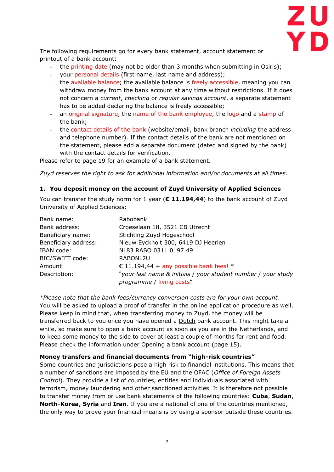

The following requirements go for every bank statement, account statement or printout of a bank account:

- the printing date (may not be older than 3 months when submitting in Osiris);
- your personal details (first name, last name and address);
- the available balance; the available balance is freely accessible, meaning you can withdraw money from the bank account at any time without restrictions. If it does not concern a *current*, *checking* or *regular savings account*, a separate statement has to be added declaring the balance is freely accessible;
- an original signature, the name of the bank employee, the logo and a stamp of the bank;
- the contact details of the bank (website/email, bank branch *including* the address and telephone number). If the contact details of the bank are not mentioned on the statement, please add a separate document (dated and signed by the bank) with the contact details for verification.

Please refer to page 19 for an example of a bank statement.

*Zuyd reserves the right to ask for additional information and/or documents at all times.*

#### <span id="page-7-0"></span>**1. You deposit money on the account of Zuyd University of Applied Sciences**

You can transfer the study norm for 1 year (**€ 11.194,44**) to the bank account of Zuyd University of Applied Sciences:

| Bank name:           | Rabobank                                                                                   |
|----------------------|--------------------------------------------------------------------------------------------|
| Bank address:        | Croeselaan 18, 3521 CB Utrecht                                                             |
| Beneficiary name:    | Stichting Zuyd Hogeschool                                                                  |
| Beneficiary address: | Nieuw Eyckholt 300, 6419 DJ Heerlen                                                        |
| IBAN code:           | NL83 RABO 0311 0197 49                                                                     |
| BIC/SWIFT code:      | RABONL2U                                                                                   |
| Amount:              | € 11.194,44 + any possible bank fees! $*$                                                  |
| Description:         | "your last name & initials / your student number / your study<br>programme / living costs" |

*\*Please note that the bank fees/currency conversion costs are for your own account.*  You will be asked to upload a proof of transfer in the online application procedure as well. Please keep in mind that, when transferring money to Zuyd, the money will be transferred back to you once you have opened a **Dutch bank account.** This might take a while, so make sure to open a bank account as soon as you are in the Netherlands, and to keep some money to the side to cover at least a couple of months for rent and food. Please check the information under Opening a bank account (page 15).

#### <span id="page-7-1"></span>**Money transfers and financial documents from "high-risk countries"**

Some countries and jurisdictions pose a high risk to financial institutions. This means that a number of sanctions are imposed by the EU and the OFAC (*Office of Foreign Assets Control*). They provide a list of countries, entities and individuals associated with terrorism, money laundering and other sanctioned activities. It is therefore not possible to transfer money from or use bank statements of the following countries: **Cuba**, **Sudan**, **North-Korea**, **Syria** and **Iran**. If you are a national of one of the countries mentioned, the only way to prove your financial means is by using a sponsor outside these countries.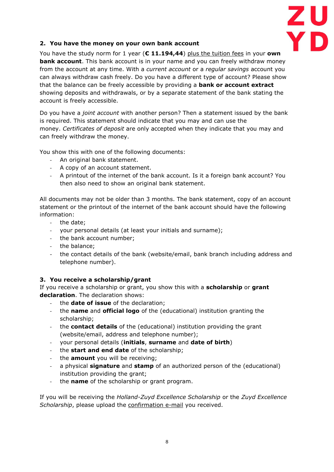

### <span id="page-8-0"></span>**2. You have the money on your own bank account**

You have the study norm for 1 year (**€ 11.194,44**) plus the tuition fees in your **own bank account**. This bank account is in your name and you can freely withdraw money from the account at any time. With a *current account* or a *regular savings* account you can always withdraw cash freely. Do you have a different type of account? Please show that the balance can be freely accessible by providing a **bank or account extract** showing deposits and withdrawals, or by a separate statement of the bank stating the account is freely accessible.

Do you have a *joint account* with another person? Then a statement issued by the bank is required. This statement should indicate that you may and can use the money. *Certificates of deposit* are only accepted when they indicate that you may and can freely withdraw the money.

You show this with one of the following documents:

- An original bank statement.
- A copy of an account statement.
- A printout of the internet of the bank account. Is it a foreign bank account? You then also need to show an original bank statement.

All documents may not be older than 3 months. The bank statement, copy of an account statement or the printout of the internet of the bank account should have the following information:

- the date;
- your personal details (at least your initials and surname);
- the bank account number;
- the balance;
- the contact details of the bank (website/email, bank branch including address and telephone number).

### <span id="page-8-1"></span>**3. You receive a scholarship/grant**

If you receive a scholarship or grant, you show this with a **scholarship** or **grant declaration**. The declaration shows:

- the **date of issue** of the declaration;
- the **name** and **official logo** of the (educational) institution granting the scholarship;
- the **contact details** of the (educational) institution providing the grant (website/email, address and telephone number);
- your personal details (**initials**, **surname** and **date of birth**)
- the **start and end date** of the scholarship;
- the **amount** you will be receiving;
- a physical **signature** and **stamp** of an authorized person of the (educational) institution providing the grant;
- the **name** of the scholarship or grant program.

If you will be receiving the *Holland-Zuyd Excellence Scholarship* or the *Zuyd Excellence Scholarship*, please upload the confirmation e-mail you received.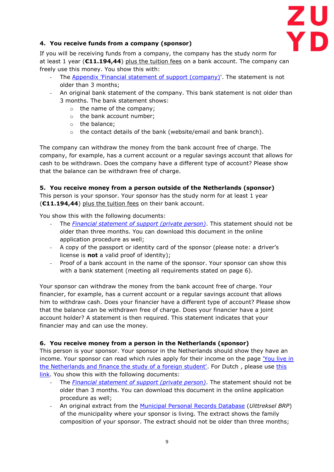

### <span id="page-9-0"></span>**4. You receive funds from a company (sponsor)**

If you will be receiving funds from a company, the company has the study norm for at least 1 year (**€11.194,44**) plus the tuition fees on a bank account. The company can freely use this money. You show this with:

- The [Appendix 'Financial statement of support \(company\)'](https://ind.nl/en/Documents/appendix_study_company.pdf). The statement is not older than 3 months;
- An original bank statement of the company. This bank statement is not older than 3 months. The bank statement shows:
	- o the name of the company;
	- o the bank account number;
	- o the balance;
	- o the contact details of the bank (website/email and bank branch).

The company can withdraw the money from the bank account free of charge. The company, for example, has a current account or a regular savings account that allows for cash to be withdrawn. Does the company have a different type of account? Please show that the balance can be withdrawn free of charge.

#### <span id="page-9-1"></span>**5. You receive money from a person outside of the Netherlands (sponsor)** This person is your sponsor. Your sponsor has the study norm for at least 1 year (**€11.194,44**) plus the tuition fees on their bank account.

You show this with the following documents:

- The *[Financial statement of support \(private person\)](https://ind.nl/en/documents/appendix_study_privateperson.pdf)*. This statement should not be older than three months. You can download this document in the online application procedure as well;
- A copy of the passport or identity card of the sponsor (please note: a driver's license is **not** a valid proof of identity);
- Proof of a bank account in the name of the sponsor. Your sponsor can show this with a bank statement (meeting all requirements stated on page 6).

Your sponsor can withdraw the money from the bank account free of charge. Your financier, for example, has a current account or a regular savings account that allows him to withdraw cash. Does your financier have a different type of account? Please show that the balance can be withdrawn free of charge. Does your financier have a joint account holder? A statement is then required. This statement indicates that your financier may and can use the money.

### <span id="page-9-2"></span>**6. You receive money from a person in the Netherlands (sponsor)**

This person is your sponsor. Your sponsor in the Netherlands should show they have an income. Your sponsor can read which rules apply for their income on the page ['You live in](https://ind.nl/en/Pages/income-financier-in-Netherlands-study.aspx)  [the Netherlands and finance the study of a foreign student'.](https://ind.nl/en/Pages/income-financier-in-Netherlands-study.aspx) For Dutch , please use [this](https://ind.nl/Paginas/Inkomen-financier-in-Nederland-studie.aspx)  [link.](https://ind.nl/Paginas/Inkomen-financier-in-Nederland-studie.aspx) You show this with the following documents:

- The *[Financial statement of support \(private person\)](https://ind.nl/en/documents/appendix_study_privateperson.pdf)*. The statement should not be older than 3 months. You can download this document in the online application procedure as well;
- An original extract from the [Municipal Personal Records Database](https://www.government.nl/topics/personal-data/personal-records-database-brp) (*Uittreksel BRP*) of the municipality where your sponsor is living. The extract shows the family composition of your sponsor. The extract should not be older than three months;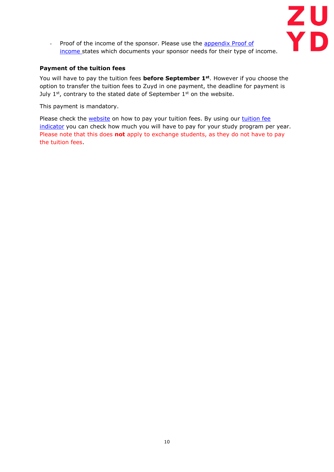

- Proof of the income of the sponsor. Please use the appendix Proof of [income](https://ind.nl/Formulieren/7111.pdf) states which documents your sponsor needs for their type of income.

#### <span id="page-10-0"></span>**Payment of the tuition fees**

You will have to pay the tuition fees **before September 1st**. However if you choose the option to transfer the tuition fees to Zuyd in one payment, the deadline for payment is July  $1^{st}$ , contrary to the stated date of September  $1^{st}$  on the website.

This payment is mandatory.

Please check the [website](https://www.zuyd.nl/en/study-at-zuyd/tuition-fees/paying-your-tuition-fees) on how to pay your tuition fees. By using our tuition fee [indicator](https://www.zuyd.nl/en/study-at-zuyd/tuition-fees) you can check how much you will have to pay for your study program per year. Please note that this does **not** apply to exchange students, as they do not have to pay the tuition fees.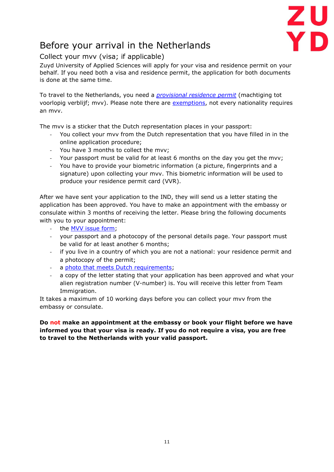

# <span id="page-11-0"></span>Before your arrival in the Netherlands

### <span id="page-11-1"></span>Collect your mvv (visa; if applicable)

Zuyd University of Applied Sciences will apply for your visa and residence permit on your behalf. If you need both a visa and residence permit, the application for both documents is done at the same time.

To travel to the Netherlands, you need a *[provisional residence permit](https://www.netherlandsworldwide.nl/travel/visas-for-the-netherlands/applying-for-a-long-stay-visa-mvv)* (machtiging tot voorlopig verblijf; mvv). Please note there are [exemptions,](https://ind.nl/en/Pages/exemptions-from-the-requirement-for-an-mvv.aspx) not every nationality requires an mvv.

The mvv is a sticker that the Dutch representation places in your passport:

- You collect your mvv from the [Dutch representation](https://www.government.nl/topics/embassies-consulates-and-other-representations/contents) that you have filled in in the online application procedure;
- You have 3 months to collect the mvv;
- Your passport must be valid for at least 6 months on the day you get the mvv;
- You have to provide your biometric information (a picture, fingerprints and a signature) upon collecting your mvv. This biometric information will be used to produce your residence permit card (VVR).

After we have sent your application to the IND, they will send us a letter stating the application has been approved. You have to make an appointment with the embassy or consulate within 3 months of receiving the letter. Please bring the following documents with you to your appointment:

- the [MVV issue form;](https://www.netherlandsworldwide.nl/documents/publications/2017/01/01/mvv-issue-form-en)
- your passport and a photocopy of the personal details page. Your passport must be valid for at least another 6 months;
- if you live in a country of which you are not a national: your residence permit and a photocopy of the permit;
- a [photo that meets Dutch requirements;](https://www.netherlandsworldwide.nl/living-working/passport-and-identity-card/photo-for-a-passport-or-identity-card)
- a copy of the letter stating that your application has been approved and what your alien registration number (V-number) is. You will receive this letter from Team Immigration.

It takes a maximum of 10 working days before you can collect your mvv from the embassy or consulate.

**Do not make an appointment at the embassy or book your flight before we have informed you that your visa is ready. If you do not require a visa, you are free to travel to the Netherlands with your valid passport.**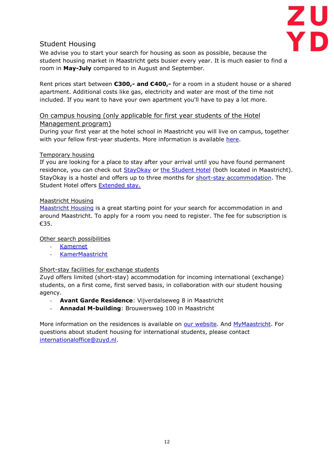

### <span id="page-12-0"></span>Student Housing

We advise you to start your search for housing as soon as possible, because the student housing market in Maastricht gets busier every year. It is much easier to find a room in **May-July** compared to in August and September.

Rent prices start between **€300,- and €400,-** for a room in a student house or a shared apartment. Additional costs like gas, electricity and water are most of the time not included. If you want to have your own apartment you'll have to pay a lot more.

#### On campus housing (only applicable for first year students of the Hotel Management program)

During your first year at the hotel school in Maastricht you will live on campus, together with your fellow first-year students. More information is available [here.](https://www.hotelschoolmaastricht.nl/en/bachelor-hotelmanagement/studentlife/student-flats)

#### Temporary housing

If you are looking for a place to stay after your arrival until you have found permanent residence, you can check out **StayOkay or [the Student Hotel](https://www.thestudenthotel.com/maastricht/)** (both located in Maastricht). StayOkay is a hostel and offers up to three months for [short-stay accommodation.](https://www.stayokay.com/en/student-stay) The Student Hotel offers [Extended stay.](https://www.thestudenthotel.com/stay/extended-stay/) 

#### Maastricht Housing

[Maastricht Housing](https://www.maastrichthousing.com/) is a great starting point for your search for accommodation in and around Maastricht. To apply for a room you need to register. The fee for subscription is €35.

#### Other search possibilities

- [Kamernet](https://kamernet.nl/en/for-rent/rooms-maastricht)
- [KamerMaastricht](https://www.kamermaastricht.com/)

#### Short-stay facilities for exchange students

Zuyd offers limited (short-stay) accommodation for incoming international (exchange) students, on a first come, first served basis, in collaboration with our student housing agency.

- **Avant Garde Residence: Vijverdalseweg 8 in Maastricht**
- **Annadal M-building**: Brouwersweg 100 in Maastricht

More information on the residences is available on [our website.](https://www.zuyd.nl/en/study-at-zuyd/exchange/accommodation-for-exchange-students) And [MyMaastricht.](https://mymaastricht.nl/housing/) For questions about student housing for international students, please contact [internationaloffice@zuyd.nl.](mailto:internationaloffice@zuyd.nl)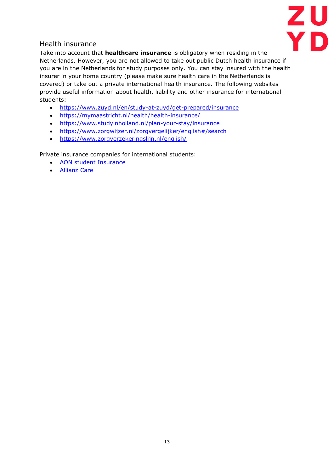

### <span id="page-13-0"></span>Health insurance

Take into account that **healthcare insurance** is obligatory when residing in the Netherlands. However, you are not allowed to take out public Dutch health insurance if you are in the Netherlands for study purposes only. You can stay insured with the health insurer in your home country (please make sure health care in the Netherlands is covered) or take out a private international health insurance. The following websites provide useful information about health, liability and other insurance for international students:

- <https://www.zuyd.nl/en/study-at-zuyd/get-prepared/insurance>
- <https://mymaastricht.nl/health/health-insurance/>
- <https://www.studyinholland.nl/plan-your-stay/insurance>
- <https://www.zorgwijzer.nl/zorgvergelijker/english#/search>
- <https://www.zorgverzekeringslijn.nl/english/>

Private insurance companies for international students:

- [AON student Insurance](https://www.aonstudentinsurance.com/students/en/)
- [Allianz Care](https://www.allianzcare.com/en.html)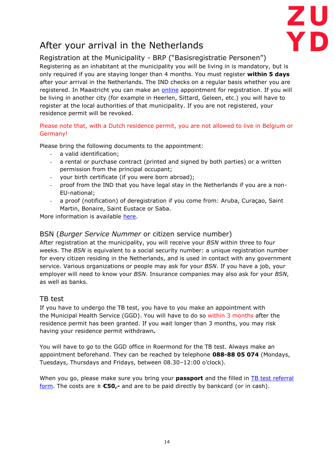

# <span id="page-14-0"></span>After your arrival in the Netherlands

### <span id="page-14-1"></span>Registration at the Municipality - BRP ("Basisregistratie Personen")

Registering as an inhabitant at the municipality you will be living in is mandatory, but is only required if you are staying longer than 4 months. You must register **within 5 days** after your arrival in the Netherlands. The IND checks on a regular basis whether you are registered. In Maastricht you can make an [online](https://www.gemeentemaastricht.nl/en/moving-and-housing/registration-student) appointment for registration. If you will be living in another city (for example in Heerlen, Sittard, Geleen, etc.) you will have to register at the local authorities of that municipality. If you are not registered, your residence permit will be revoked.

### Please note that, with a Dutch residence permit, you are not allowed to live in Belgium or Germany!

Please bring the following documents to the appointment:

- a valid identification;
- a rental or purchase contract (printed and signed by both parties) or a written permission from the principal occupant;
- your birth certificate (if you were born abroad);
- proof from the IND that you have legal stay in the Netherlands if you are a non-EU-national;
- a proof (notification) of deregistration if you come from: Aruba, Curaçao, Saint Martin, Bonaire, Saint Eustace or Saba.

More information is available [here.](https://www.gemeentemaastricht.nl/en/moving-and-housing/first-registration-netherlands)

### <span id="page-14-2"></span>BSN (*Burger Service Nummer* or citizen service number)

After registration at the municipality, you will receive your *BSN* within three to four weeks. The *BSN* is equivalent to a social security number: a unique registration number for every citizen residing in the Netherlands, and is used in contact with any government service. Various organizations or people may ask for your *BSN*. If you have a job, your employer will need to know your *BSN*. Insurance companies may also ask for your *BSN*, as well as banks.

### <span id="page-14-3"></span>TB test

If you have to undergo the TB test, you have to you make an appointment with the Municipal Health Service (GGD). You will have to do so within 3 months after the residence permit has been granted. If you wait longer than 3 months, you may risk having your residence permit withdrawn*.*

You will have to go to the GGD office in Roermond for the TB test. Always make an appointment beforehand. They can be reached by telephone **088-88 05 074** (Mondays, Tuesdays, Thursdays and Fridays, between 08.30–12:00 o'clock).

When you go, please make sure you bring your **passport** and the filled in **TB** test referral [form.](https://ind.nl/en/Forms/7604.pdf) The costs are  $\pm$  **€50,-** and are to be paid directly by bankcard (or in cash).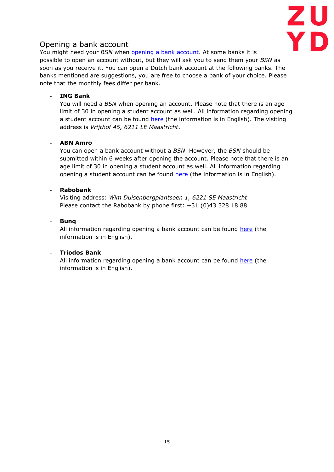

### <span id="page-15-0"></span>Opening a bank account

You might need your *BSN* when **opening a bank account**. At some banks it is possible to open an account without, but they will ask you to send them your *BSN* as soon as you receive it. You can open a Dutch bank account at the following banks. The banks mentioned are suggestions, you are free to choose a bank of your choice. Please note that the monthly fees differ per bank.

### - **ING Bank**

You will need a *BSN* when opening an account. Please note that there is an age limit of 30 in opening a student account as well. All information regarding opening a student account can be found [here](https://www.ing.nl/particulier/student/acties/student-english/appointment.html) (the information is in English). The visiting address is *Vrijthof 45, 6211 LE Maastricht*.

### - **ABN Amro**

You can open a bank account without a *BSN*. However, the *BSN* should be submitted within 6 weeks after opening the account. Please note that there is an age limit of 30 in opening a student account as well. All information regarding opening a student account can be found [here](https://www.abnamro.nl/en/personal/payments/open-an-account/student-package/index.html) (the information is in English).

#### - **Rabobank**

Visiting address: *Wim Duisenbergplantsoen 1, 6221 SE Maastricht* Please contact the Rabobank by phone first: +31 (0)43 328 18 88.

#### - **Bunq**

All information regarding opening a bank account can be found [here](https://www.bunq.com/student-bank-account) (the information is in English).

### - **Triodos Bank**

All information regarding opening a bank account can be found [here](https://www.triodos.com/) (the information is in English).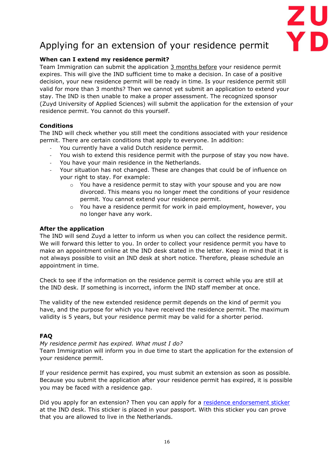

# Applying for an extension of your residence permit

### **When can I extend my residence permit?**

Team Immigration can submit the application 3 months before your residence permit expires. This will give the IND sufficient time to make a decision. In case of a positive decision, your new residence permit will be ready in time. Is your residence permit still valid for more than 3 months? Then we cannot yet submit an application to extend your stay. The IND is then unable to make a proper assessment. The recognized sponsor (Zuyd University of Applied Sciences) will submit the application for the extension of your residence permit. You cannot do this yourself.

#### **Conditions**

The IND will check whether you still meet the conditions associated with your residence permit. There are certain conditions that apply to everyone. In addition:

- You currently have a valid Dutch residence permit.
- You wish to extend this residence permit with the purpose of stay you now have.
- You have your main residence in the Netherlands.
- Your situation has not changed. These are changes that could be of influence on your right to stay. For example:
	- $\circ$  You have a residence permit to stay with your spouse and you are now divorced. This means you no longer meet the conditions of your residence permit. You cannot extend your residence permit.
	- $\circ$  You have a residence permit for work in paid employment, however, you no longer have any work.

#### **After the application**

The IND will send Zuyd a letter to inform us when you can collect the residence permit. We will forward this letter to you. In order to collect your residence permit you have to make an appointment online at the IND desk stated in the letter. Keep in mind that it is not always possible to visit an IND desk at short notice. Therefore, please schedule an appointment in time.

Check to see if the information on the residence permit is correct while you are still at the IND desk. If something is incorrect, inform the IND staff member at once.

The validity of the new extended residence permit depends on the kind of permit you have, and the purpose for which you have received the residence permit. The maximum validity is 5 years, but your residence permit may be valid for a shorter period.

### **FAQ**

*My residence permit has expired. What must I do?*

Team Immigration will inform you in due time to start the application for the extension of your residence permit.

If your residence permit has expired, you must submit an extension as soon as possible. Because you submit the application after your residence permit has expired, it is possible you may be faced with a residence gap.

Did you apply for an extension? Then you can apply for a [residence endorsement sticker](https://ind.nl/en/Pages/Appointment-for-a-residence-endorsement-sticker.aspx) at the IND desk. This sticker is placed in your passport. With this sticker you can prove that you are allowed to live in the Netherlands.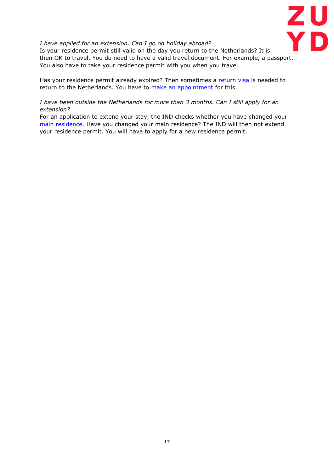

#### *I have applied for an extension. Can I go on holiday abroad?*

Is your residence permit still valid on the day you return to the Netherlands? It is then OK to travel. You do need to have a valid travel document. For example, a passport. You also have to take your residence permit with you when you travel.

Has your residence permit already expired? Then sometimes a [return visa](https://ind.nl/en/Pages/Appointment-for-a-return-visa.aspx) is needed to return to the Netherlands. You have to [make an appointment](https://ind.nl/en/contact/Pages/Appointment.aspx) for this.

*I have been outside the Netherlands for more than 3 months. Can I still apply for an extension?*

For an application to extend your stay, the IND checks whether you have changed your [main residence.](https://ind.nl/en/Pages/main-residence.aspx) Have you changed your main residence? The IND will then not extend your residence permit. You will have to apply for a new residence permit.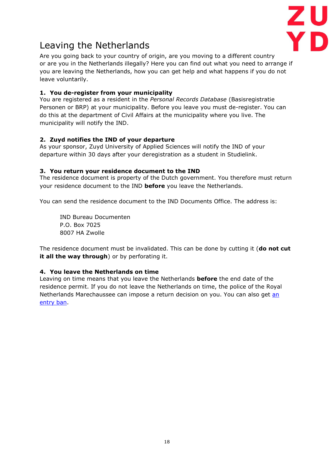

## <span id="page-18-0"></span>Leaving the Netherlands

Are you going back to your country of origin, are you moving to a different country or are you in the Netherlands illegally? Here you can find out what you need to arrange if you are leaving the Netherlands, how you can get help and what happens if you do not leave voluntarily.

### **1. You de-register from your municipality**

You are registered as a resident in the *Personal Records Database* (Basisregistratie Personen or BRP) at your municipality. Before you leave you must de-register. You can do this at the department of Civil Affairs at the municipality where you live. The municipality will notify the IND.

### **2. Zuyd notifies the IND of your departure**

As your sponsor, Zuyd University of Applied Sciences will notify the IND of your departure within 30 days after your deregistration as a student in Studielink.

#### **3. You return your residence document to the IND**

The residence document is property of the Dutch government. You therefore must return your residence document to the IND **before** you leave the Netherlands.

You can send the residence document to the IND Documents Office. The address is:

IND Bureau Documenten P.O. Box 7025 8007 HA Zwolle

The residence document must be invalidated. This can be done by cutting it (**do not cut it all the way through**) or by perforating it.

#### **4. You leave the Netherlands on time**

Leaving on time means that you leave the Netherlands **before** the end date of the residence permit. If you do not leave the Netherlands on time, the police of the Royal Netherlands Marechaussee can impose a return decision on you. You can also get [an](https://ind.nl/en/Pages/entry-ban-return-decision-and-pronouncement-of-undesirability.aspx)  [entry ban.](https://ind.nl/en/Pages/entry-ban-return-decision-and-pronouncement-of-undesirability.aspx)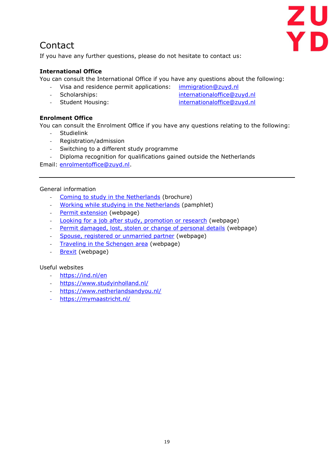

## <span id="page-19-0"></span>Contact

If you have any further questions, please do not hesitate to contact us:

### **International Office**

You can consult the International Office if you have any questions about the following:

- Visa and residence permit applications: [immigration@zuyd.nl](mailto:immigration@zuyd.nl)
- Scholarships: [internationaloffice@zuyd.nl](mailto:internationaloffice@zuyd.nl)
- Student Housing: internationaloffice@zuyd.nl

**Enrolment Office**

You can consult the Enrolment Office if you have any questions relating to the following:

- Studielink
- Registration/admission
- Switching to a different study programme
- Diploma recognition for qualifications gained outside the Netherlands

Email: [enrolmentoffice@zuyd.nl.](mailto:enrolmentoffice@zuyd.nl)

#### <span id="page-19-1"></span>General information

- [Coming to study in the Netherlands](https://ind.nl/en/Forms/3087.pdf) (brochure)
- [Working while studying in the Netherlands](https://www.inspectorateszw.nl/publications/publications/2019/09/13/flyer-working-while-studying-in-the-netherlands) (pamphlet)
- [Permit extension](https://ind.nl/en/Pages/Permit-extension.aspx) (webpage)
- [Looking for a job after study, promotion or research](https://ind.nl/en/work/working_in_the_Netherlands/Pages/Looking-for-a-job-after-study-promotion-or-research.aspx) (webpage)
- [Permit damaged, lost, stolen or change of personal details](https://ind.nl/en/Pages/Replace-residence-document.aspx) (webpage)
- [Spouse, registered or unmarried partner](https://ind.nl/en/family/Pages/Spouse-or-partner.aspx?pk_campaign=Spouse&pk_kwd=subnavigatie) (webpage)
- [Traveling in the Schengen area](https://ind.nl/en/Pages/schengen-area.aspx) (webpage)
- **[Brexit](https://ind.nl/en/Pages/Brexit.aspx)** (webpage)

#### <span id="page-19-2"></span>Useful websites

- <https://ind.nl/en>
- <https://www.studyinholland.nl/>
- <https://www.netherlandsandyou.nl/>
- <https://mymaastricht.nl/>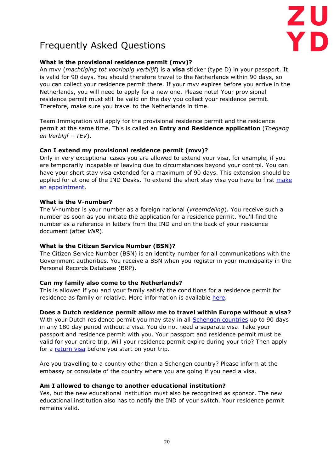

## <span id="page-20-0"></span>Frequently Asked Questions

#### **What is the provisional residence permit (mvv)?**

An mvv (*machtiging tot voorlopig verblijf*) is a **visa** sticker (type D) in your passport. It is valid for 90 days. You should therefore travel to the Netherlands within 90 days, so you can collect your residence permit there. If your mvv expires before you arrive in the Netherlands, you will need to apply for a new one. Please note! Your provisional residence permit must still be valid on the day you collect your residence permit. Therefore, make sure you travel to the Netherlands in time.

Team Immigration will apply for the provisional residence permit and the residence permit at the same time. This is called an **Entry and Residence application** (*Toegang en Verblijf – TEV*).

#### **Can I extend my provisional residence permit (mvv)?**

Only in very exceptional cases you are allowed to extend your visa, for example, if you are temporarily incapable of leaving due to circumstances beyond your control. You can have your short stay visa extended for a maximum of 90 days. This extension should be applied for at one of the IND Desks. To extend the short stay visa you have to first make [an appointment.](https://ind.nl/en/contact/Pages/Appointment.aspx)

#### **What is the V-number?**

The V-number is your number as a foreign national (*vreemdeling*). You receive such a number as soon as you initiate the application for a residence permit. You'll find the number as a reference in letters from the IND and on the back of your residence document (after *VNR*).

#### **What is the Citizen Service Number (BSN)?**

The Citizen Service Number (BSN) is an identity number for all communications with the Government authorities. You receive a BSN when you register in your municipality in the Personal Records Database (BRP).

### **Can my family also come to the Netherlands?**

This is allowed if you and your family satisfy the conditions for a residence permit for residence as family or relative. More information is available [here.](https://ind.nl/en/family/residence-permit-for-your-partner/Pages/partner.aspx)

#### **Does a Dutch residence permit allow me to travel within Europe without a visa?**

With your Dutch residence permit you may stay in all **Schengen countries** up to 90 days in any 180 day period without a visa. You do not need a separate visa. Take your passport and residence permit with you. Your passport and residence permit must be valid for your entire trip. Will your residence permit expire during your trip? Then apply for a [return visa](https://ind.nl/en/Pages/Appointment-for-a-return-visa.aspx) before you start on your trip.

Are you travelling to a country other than a Schengen country? Please inform at the embassy or consulate of the country where you are going if you need a visa.

#### **Am I allowed to change to another educational institution?**

Yes, but the new educational institution must also be recognized as sponsor. The new educational institution also has to notify the IND of your switch. Your residence permit remains valid.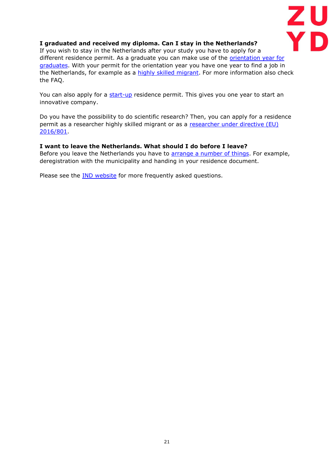

#### **I graduated and received my diploma. Can I stay in the Netherlands?**

If you wish to stay in the Netherlands after your study you have to apply for a different residence permit. As a graduate you can make use of the *orientation year for* [graduates.](https://ind.nl/en/work/working_in_the_Netherlands/Pages/Looking-for-a-job-after-study-promotion-or-research.aspx) With your permit for the orientation year you have one year to find a job in the Netherlands, for example as a [highly skilled migrant.](https://ind.nl/en/work/working_in_the_Netherlands/Pages/Highly-skilled-migrant.aspx) For more information also check the FAQ.

You can also apply for a [start-up](https://ind.nl/en/work/working_in_the_Netherlands/Pages/Start-up.aspx) residence permit. This gives you one year to start an innovative company.

Do you have the possibility to do scientific research? Then, you can apply for a residence permit as a researcher highly skilled migrant or as a [researcher under directive \(EU\)](https://ind.nl/en/work/working_in_the_Netherlands/Pages/Scientific-researcher.aspx)  [2016/801.](https://ind.nl/en/work/working_in_the_Netherlands/Pages/Scientific-researcher.aspx)

#### **I want to leave the Netherlands. What should I do before I leave?**

Before you leave the Netherlands you have to [arrange a number of things.](https://ind.nl/en/Pages/leaving-the-Netherlands.aspx) For example, deregistration with the municipality and handing in your residence document.

Please see the [IND website](https://ind.nl/en/contact/Pages/FAQ.aspx) for more frequently asked questions.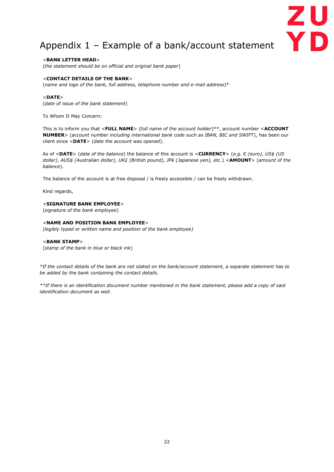## <span id="page-22-0"></span>Appendix 1 – Example of a bank/account statement

ZU<br>Yd

<**BANK LETTER HEAD**> (*the statement should be on official and original bank paper*)

#### <**CONTACT DETAILS OF THE BANK**>

(*name and logo of the bank, full address, telephone number and e-mail address*)\*

#### <**DATE**>

(*date of issue of the bank statement*)

To Whom It May Concern:

This is to inform you that <**FULL NAME**> (*full name of the account holder*)\*\*, account number <**ACCOUNT NUMBER**> (*account number including international bank code such as IBAN, BIC and SWIFT*), has been our client since <**DATE**> (*date the account was opened*).

As of <**DATE**> (*date of the balance*) the balance of this account is <**CURRENCY**> (*e.g. € (euro), US\$ (US dollar), AUS\$ (Australian dollar), UK£ (British pound), JP¥ (Japanese yen), etc.*) <**AMOUNT**> (*amount of the balance*).

The balance of the account is at free disposal / is freely accessible / can be freely withdrawn.

Kind regards,

#### <**SIGNATURE BANK EMPLOYEE**>

(*signature of the bank employee*)

#### <**NAME AND POSITION BANK EMPLOYEE**>

(*legibly typed or written name and position of the bank employee)*

#### <**BANK STAMP**>

(*stamp of the bank in blue or black ink*)

*\*If the contact details of the bank are not stated on the bank/account statement, a separate statement has to be added by the bank containing the contact details.* 

*\*\*If there is an identification document number mentioned in the bank statement, please add a copy of said identification document as well.*